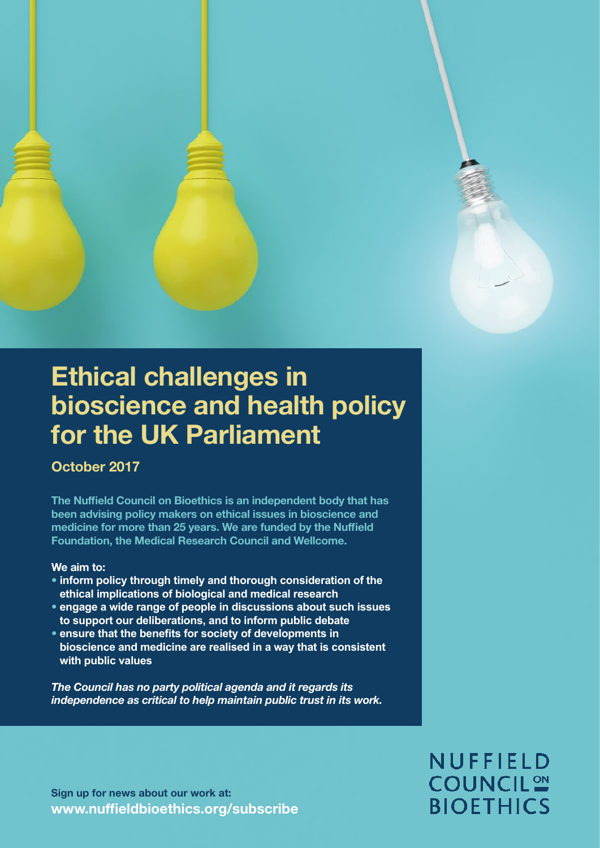

# Ethical challenges in bioscience and health policy for the UK Parliament

### October 2017

The Nuffield Council on Bioethics is an independent body that has been advising policy makers on ethical issues in bioscience and medicine for more than 25 years. We are funded by the Nuffield Foundation, the Medical Research Council and Wellcome.

### We aim to:

- **inform policy through timely and thorough consideration of the ethical implications of biological and medical research**
- **engage a wide range of people in discussions about such issues to support our deliberations, and to inform public debate**
- **ensure that the benefits for society of developments in bioscience and medicine are realised in a way that is consistent with public values**

The Council has no party political agenda and it regards its independence as critical to help maintain public trust in its work.

Sign up for news about our work at: [www.nuffieldbioethics.org/subscribe](http://www.nuffieldbioethics.org/subscribe)

# NUFFIELD **COUNCIL<sup>2</sup> BIOETHICS**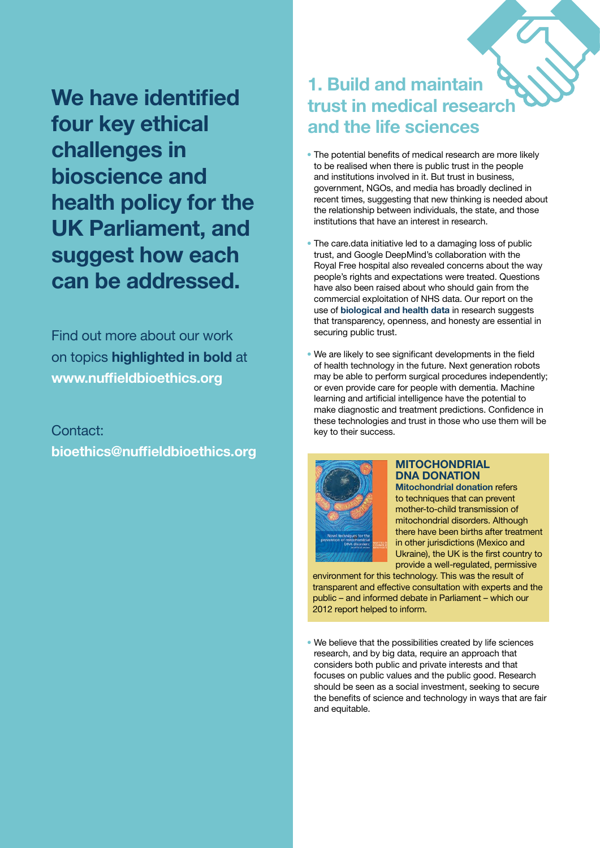We have identified four key ethical challenges in bioscience and health policy for the UK Parliament, and suggest how each can be addressed.

Find out more about our work on topics highlighted in bold at [www.nuffieldbioethics.org](http://www.nuffieldbioethics.org)

### Contact: bioethics@nuffieldbioethics.org

### 1. Build and maintain trust in medical research and the life sciences

- The potential benefits of medical research are more likely to be realised when there is public trust in the people and institutions involved in it. But trust in business, government, NGOs, and media has broadly declined in recent times, suggesting that new thinking is needed about the relationship between individuals, the state, and those institutions that have an interest in research.
- The care.data initiative led to a damaging loss of public trust, and Google DeepMind's collaboration with the Royal Free hospital also revealed concerns about the way people's rights and expectations were treated. Questions have also been raised about who should gain from the commercial exploitation of NHS data. Our report on the use of [biological and health data](https://nuffieldbioethics.org/project/biological-health-data) in research suggests that transparency, openness, and honesty are essential in securing public trust.
- We are likely to see significant developments in the field of health technology in the future. Next generation robots may be able to perform surgical procedures independently; or even provide care for people with dementia. Machine learning and artificial intelligence have the potential to make diagnostic and treatment predictions. Confidence in these technologies and trust in those who use them will be key to their success.



### **MITOCHONDRIAL** DNA DONATION

[Mitochondrial donation](https://nuffieldbioethics.org/project/mitochondrial-dna-disorders) refers to techniques that can prevent mother-to-child transmission of mitochondrial disorders. Although there have been births after treatment in other jurisdictions (Mexico and Ukraine), the UK is the first country to provide a well-regulated, permissive

environment for this technology. This was the result of transparent and effective consultation with experts and the public – and informed debate in Parliament – which our 2012 report helped to inform.

• We believe that the possibilities created by life sciences research, and by big data, require an approach that considers both public and private interests and that focuses on public values and the public good. Research should be seen as a social investment, seeking to secure the benefits of science and technology in ways that are fair and equitable.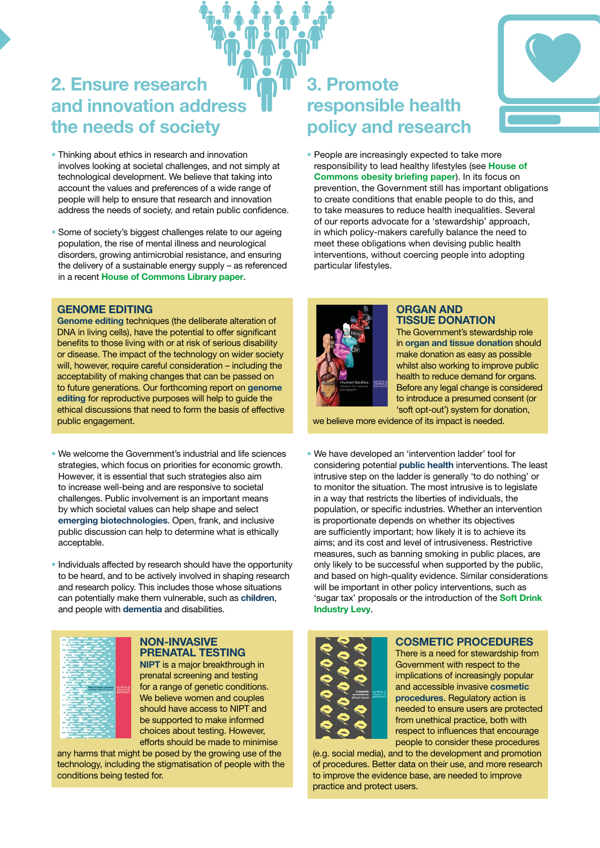### 2. Ensure research and innovation address the needs of society

- Thinking about ethics in research and innovation involves looking at societal challenges, and not simply at technological development. We believe that taking into account the values and preferences of a wide range of people will help to ensure that research and innovation address the needs of society, and retain public confidence.
- Some of society's biggest challenges relate to our ageing population, the rise of mental illness and neurological disorders, growing antimicrobial resistance, and ensuring the delivery of a sustainable energy supply – as referenced in a recent **[House of Commons Library paper](http://researchbriefings.files.parliament.uk/documents/CBP-8021/CBP-8021.pdf).**

#### GENOME EDITING

[Genome editing](https://nuffieldbioethics.org/project/genome-editing) techniques (the deliberate alteration of DNA in living cells), have the potential to offer significant benefits to those living with or at risk of serious disability or disease. The impact of the technology on wider society will, however, require careful consideration – including the acceptability of making changes that can be passed on to future generations. Our forthcoming report on [genome](https://nuffieldbioethics.org/project/genome-editing)  [editing](https://nuffieldbioethics.org/project/genome-editing) for reproductive purposes will help to guide the ethical discussions that need to form the basis of effective public engagement.

- We welcome the Government's industrial and life sciences strategies, which focus on priorities for economic growth. However, it is essential that such strategies also aim to increase well-being and are responsive to societal challenges. Public involvement is an important means by which societal values can help shape and select [emerging biotechnologies](https://nuffieldbioethics.org/project/emerging-biotechnologies). Open, frank, and inclusive public discussion can help to determine what is ethically acceptable.
- Individuals affected by research should have the opportunity to be heard, and to be actively involved in shaping research and research policy. This includes those whose situations can potentially make them vulnerable, such as [children](https://nuffieldbioethics.org/project/children-research), and people with [dementia](https://nuffieldbioethics.org/project/dementia) and disabilities.



#### NON-INVASIVE PRENATAL TESTING

[NIPT](https://nuffieldbioethics.org/project/non-invasive-prenatal-testing) is a major breakthrough in prenatal screening and testing for a range of genetic conditions. We believe women and couples should have access to NIPT and be supported to make informed choices about testing. However, efforts should be made to minimise

any harms that might be posed by the growing use of the technology, including the stigmatisation of people with the conditions being tested for.

### 3. Promote responsible health policy and research



• People are increasingly expected to take more responsibility to lead healthy lifestyles (see [House of](https://researchbriefings.parliament.uk/ResearchBriefing/Summary/CBP-8021)  [Commons obesity briefing paper](https://researchbriefings.parliament.uk/ResearchBriefing/Summary/CBP-8021)). In its focus on prevention, the Government still has important obligations to create conditions that enable people to do this, and to take measures to reduce health inequalities. Several of our reports advocate for a 'stewardship' approach, in which policy-makers carefully balance the need to meet these obligations when devising public health interventions, without coercing people into adopting particular lifestyles.



#### ORGAN AND TISSUE DONATION

The Government's stewardship role in [organ and tissue donation](https://nuffieldbioethics.org/project/donation) should make donation as easy as possible whilst also working to improve public health to reduce demand for organs. Before any legal change is considered to introduce a presumed consent (or 'soft opt-out') system for donation,

we believe more evidence of its impact is needed.

• We have developed an 'intervention ladder' tool for considering potential [public health](https://nuffieldbioethics.org/project/public-health) interventions. The least intrusive step on the ladder is generally 'to do nothing' or to monitor the situation. The most intrusive is to legislate in a way that restricts the liberties of individuals, the population, or specific industries. Whether an intervention is proportionate depends on whether its objectives are sufficiently important; how likely it is to achieve its aims; and its cost and level of intrusiveness. Restrictive measures, such as banning smoking in public places, are only likely to be successful when supported by the public, and based on high-quality evidence. Similar considerations will be important in other policy interventions, such as 'sugar tax' proposals or the introduction of the [Soft Drink](http://researchbriefings.parliament.uk/ResearchBriefing/Summary/CBP-7876)  [Industry Levy](http://researchbriefings.parliament.uk/ResearchBriefing/Summary/CBP-7876).



#### COSMETIC PROCEDURES

There is a need for stewardship from Government with respect to the implications of increasingly popular and accessible invasive [cosmetic](https://nuffieldbioethics.org/project/cosmetic-procedures)  [procedures](https://nuffieldbioethics.org/project/cosmetic-procedures). Regulatory action is needed to ensure users are protected from unethical practice, both with respect to influences that encourage people to consider these procedures

(e.g. social media), and to the development and promotion of procedures. Better data on their use, and more research to improve the evidence base, are needed to improve practice and protect users.